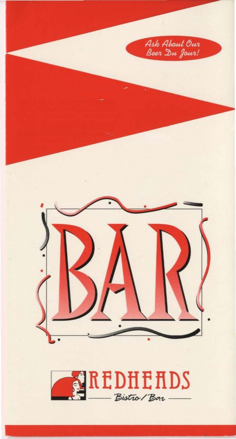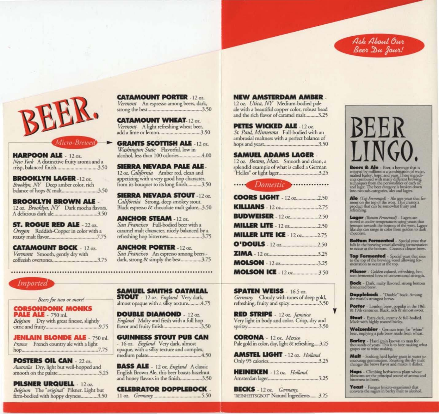



**HARPOON ALE** - 12 oz. New York A distinctive fruity aroma and a 

**BROOKLYN LAGER -12 oz.** Brooklyn, NY Deep amber color, rich 

**BROOKLYN BROWN ALE .** 12 oz. Brooklyn, NY Dark mocha flavors. 

**ST. ROGUE RED ALE - 22 oz.** Oregon Reddish-Copper in color with a 

**CATAMOUNT BOCK - 12 oz.** Vermont Smooth, gently dry with  **CATAMOUNT PORTER - 12 oz.** Vermont An espresso among beers, dark, 

**CATAMOUNT WHEAT-12 oz.** Vermont A light refreshing wheat beer, 

**GRANTS SCOTTISH ALE -12 oz.** Washington State Flavorful, low in 

**SIERRA NEVADA PALE ALE.** 12 oz. California Amber red, clean and appetizing with a very good hop character, from its bouquet to its long finish...........3.50

**SIERRA NEVADA STOUT -12 oz.** California Strong, deep smokey stout. Black espresso & chocolate malt galore...3.50

**ANCHOR STEAM - 12 oz.** San Francisco Full-bodied beer with a caramel malt character, nicely balanced by a 

**ANCHOR PORTER - 12 oz.** San Francisco An espresso among beers dark, strong & simply the best.................3.75

## **Imported**

Beers for two or more!

**CORSONDONK MONKS PALE ALE - 750 ml.** Belgium Dry with great finesse, slightly 

**JENLAIN BLONDE ALE - 750 ml.** France French country ale with a light 

**FOSTERS OIL CAN** - 22 oz. Australia Dry, light but well-hopped and 

**PILSNER URQUELL** - 12 oz. Belgium The "original" Pilsner. Light but firm-bodied with hoppy dryness.............3.50

**SAMUEL SMITHS OATMEAL STOUT** - 12 oz. England Very dark. almost opaque with a silky texture..........4.75

**DOUBLE DIAMOND** - 12 oz. England Malty and fresh with a full hop 

**GUINNESS STOUT PUB CAN** - 16 oz. England Very dark, almost opaque, with a silky texture and complex, 

**BASS ALE** - 12 oz. England A classic English Brown Ale, this beer boasts hazelnut and honey flavors in the finish.................3.50

**CELEBRATOR DOPPLEBOCK.**  **NEW AMSTERDAM AMBER.** 

12 oz. Utica, NY Medium-bodied pale ale with a beautiful copper color, robust head and the rich flavor of caramel malt..........3.25

**PETES WICKED ALE -12 oz.** St. Paul, Minnesota Full-bodied with an ambrosial maltness with a perfect balance of 

**SAMUEL ADAMS LAGER.** 12 oz. Boston, Mass. Smooth and clean, a 



| <b>COORS LIGHT</b> - 12 oz2.50     |  |
|------------------------------------|--|
|                                    |  |
|                                    |  |
|                                    |  |
| <b>MILLER LITE ICE - 12 oz2.75</b> |  |
|                                    |  |
| $ZIMA - 12$ or 3.25                |  |
| <b>MOLSON</b> - 12 oz3.25          |  |
| <b>MOLSON ICE - 12 oz3.50</b>      |  |

**SPATEN WEISS** - 16.5 oz. Germany Cloudy with tones of deep gold, refreshing, fruity and spicy...........................3.50

**RED STRIPE** - 12 oz. Jamaica Very light in body and color. Crisp, dry and 

**CORONA** - 12 oz. Mexico Pale gold in color, day, light & refreshing.....3.25

**AMSTEL LIGHT** - 12 oz. Holland 

**HEINEKEN** - 12 oz. Holland. 

**BECKS** -  $12 \text{ oz}$ . Germany. "REINHEITSGBOT" Natural Ingredients........3.25



Beers & Ale - Beer, a beverage that is enjoyed by millions is a combination of water, increased by millions is a combination of water, mast combined with many different brewing techniques from the personalities of each alle and lager. The best category is broke

Alo (Top Fermented) - Ale uses yeast that ferment on the top of the wort. This creates a product that can be somewhat fruity and refreshing.

Lager (Bottom Fermented) - Lagers are<br>stored at cooler temperatures using years that<br>ferment two<br>arts the bottom of the worn. Lagers<br>like algs can range in color from golden to dark chocolate.

Bottom Fermented - Special year that falls in the brewing vessel allowing fermentation<br>to occur at the bottom. Creates a clearer brew.

Top Fermented - Special yeast that rises to the top of the brewing vessel allowing fermentation to occur at the top.

Pilsner - Golden colored, refreshing, bot-<br>tom fermented brew of conventional strength.

Bock - Dark, malty flavored, strong bottom<br>fermented brew.

Dopplebock - "Double" bock. Among<br>the world's strongest brews.

Porter - London brew, popular in the 18th<br>& 19th centuries. Black, rich & almost sweet.

**Stout** - Extra dark, creamy & full-bodied.<br>Made with highly roasted barley.

Weizenbier - German term for "white"<br>beer, implying a pale brew made from wheat.

**Barley** - Hard grain known to man for thousands of years. This is to beer making what grapes are to wine making.

**Malt** - Soaking hard barley grain in water to<br>encourage germination. Roasting the dry mak<br>changes the brews flavor and makes it darker.

**Hops** - Climbing herbaceous plant whose<br>blossoms are the principal source of aroma and<br>bitterness in beers.

Yeast - Fungus (micro-organisms) that<br>converts the sugars in barley malt to alcohol.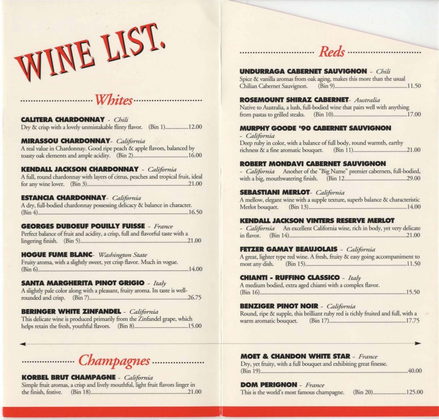



**CAUIERA CHARDONNAY** - *Chili*  Dry & crisp with a lovely unmistakable flinty flavor. (Bin 1) ............... 12.00

#### **MlRASSOU** CHARDONNAY- *California*

A real value in Chardonnay. Good ripe peach & apple flavors, balanced by toasty oak clements and ample acidity. (Bin 2) ...................................... 16.00

#### **KENDALL JACKSON OIARDONNAY** - *Gilifornia*

A full, round chardonnay with layers of citrus, peaches and tropical fruit, ideal for any wine lover. (Bin 3) ...................................................................... 21.00

#### **ESTANCIA CHARDONNAY**- *California*

A dry, full-bodied chardonnay possessing delicacy & balance in character. (Bin 4) ........................................................................................................ 1650

#### **GEORGES DUBOEUF POUILLY FUISSE - France**

Perfect balance of fruit and acidity, a crisp, full and flavorful taste with a lingering finish. (Bin 5) .......................................................................... 21.00

#### **HOGUE FUME BLANC-** *Washington State*

Fruity aroma, with a slightly sweet, yet crisp flavor. Much in vogue. (Bin 6) ........................................................................................................ 14.00

#### SANTA MARGHERITA PINOT GRIGIO - Italy

A slightly pale color along with a pleasant, fruity aroma. Its taste is wellrounded and crisp. (Bin 7) .................................................................... 26.75

#### **BERINGER WHITE ZINFANDEL** - *California*

This delicate wine is produced primarily from the Zinfandel grape, which hdps retain the fresh, youthful Aavors. (Bin 8) ..................................... 15.00

 $\overline{\phantom{0}}$ 

..................... *Champagnes ........*........... .

#### **KORBEL BRUI OIAMPAGNI** - *California*

Simple fruit aromas, a crisp and lively mouthful, light fruit flavors linger in ~6nish,ft:stive. (Bin 18) ................................................................... 21.00

### **UNDURRAGA CABERNET SAUVIGNON** - *Chili*

Spice & vanilla aromas from oak aging, makes this more than the usual Chilian Dbemer Sauvignon. (Bin 9) .................................................. 11.50

............................. *Reds* ............................ .

#### **ROSEMOUNT SHIRAZ CABERNET- Australia**

Native to Australia, a lush, full-bodied wine that pairs well with anything from pastas (0 gri1Iod sreaks. (Bin 10) ................................................... 17.00

#### **MURPHY GOODE '90 CABERNET SAUVIGNON**

*- California* 

Deep ruby in color, with a balance of full body, round warmth, earthy richness & a fi ne aromatic bouquet. (Bin 11 ) ..................................... 21.00

#### ROBERT MONDAVI CABERNET SAUVIGNON

- *California* Another of the "Big Name" premier cabernets, full-bodied, with a big, mouthwatering finish. (Bin 12 ........................................... 29.00

#### **SUlASnANI MIRLOT-** *California*

A mellow, elegant wine with a supple texture, superb balance & characteristic Merlot bouquet. (Bin 13) .................................................................... 14.00

# **KENDALL JACKSON VINTERS RESERVE MERLOT**<br>- *California* An excellent California wine, rich in body, yet very delicate

in flavor. (Bin 14) ................................................................................. 21.00

#### **FITDR GAMAY BEAUJOLAIS** - *California*

|                |              |  | A great, lighter type red wine. A fresh, fruity & easy going accompaniment to |
|----------------|--------------|--|-------------------------------------------------------------------------------|
| most any dish. | $(Bin 15)$ . |  | .11.50                                                                        |

#### **CHIANTI • RUFFINO CLASSICO • Italy**

A medium bodied, extra aged chianti with a complex flavor. (Bin 16) ..................................................................................................... 15.50

#### **BENZIGER PINOT NOIR** - *California*

Round, ripe & supple, this brilliant ruby red is richly fruited and full, with a warm aromatic bouquet. (Bin 17) ..................................................... 17.75

#### **MOET & CHANDON WHITE STAR - France**

Dry, yet fruity, with a full bouquet and exhibiting great finesse. (Bin 19) ...................................................................................................... 40.00

#### **DOM PERIGNON** - *France*

This is the world's most famous champagne. (Bin 20) ....................... 125.00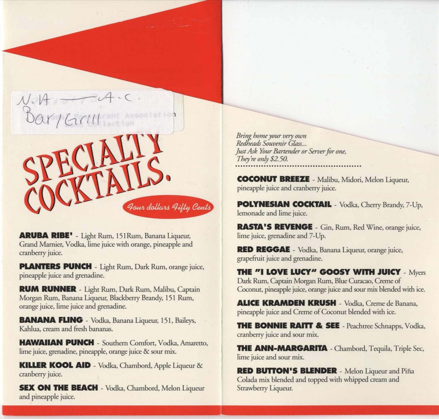

**ARUBA RIBE'** - Light Rum, 151 Rum, Banana Liqueur, Grand Marnier, Vodka, lime juice with orange, pineapple and cranberry juice.

PLANTERS PUNCH - Light Rum, Dark Rum, orange juice, pineapple juice and grenadine.

**RUM RUNNER** - Light Rum, Dark Rum, Malibu, Captain Morgan Rum, Banana Liqueur, Blackberry Brandy, 151 Rum, orange juice, lime juice and grenadine.

**BANANA FLING** - Vodka, Banana Liqueur, 151, Baileys, Kahlua, cream and fresh bananas.

**HAWAIIAN PUNCH** - Southern Comfort, Vodka, Amaretto, lime juice, grenadine, pineapple, orange juice & sour mix.

**KILLER KOOL AID** - Vodka, Chambord, Apple Liqueur & cranberry juice.

**SEX ON THE BEACH** - Vodka, Chambord, Melon Liqueur and pineapple juice.

Bring home your very own Redheads Souvenir Glass... Just Ask Your Bartender or Server for one, They're only \$2.50.

**COCONUT BREEZE** - Malibu, Midori, Melon Liqueur, pineapple juice and cranberry juice.

**POLYNESIAN COCKTAIL** - Vodka, Cherry Brandy, 7-Up, lemonade and lime juice.

RASTA'S REVENGE - Gin, Rum, Red Wine, orange juice, lime juice, grenadine and 7-Up.

**RED REGGAE** - Vodka, Banana Liqueur, orange juice, grapefruit juice and grenadine.

**THE "I LOVE LUCY" GOOSY WITH JUICY - Myers** Dark Rum, Captain Morgan Rum, Blue Curacao, Creme of Coconut, pineapple juice, orange juice and sour mix blended with ice.

**ALICE KRAMDEN KRUSH** - Vodka, Creme de Banana, pineapple juice and Creme of Coconut blended with ice.

**THE BONNIE RAITT & SEE** - Peachtree Schnapps, Vodka, cranberry juice and sour mix.

**THE ANN-MARGARITA** - Chambord, Tequila, Triple Sec, lime juice and sour mix.

**RED BUTTON'S BLENDER** - Melon Liqueur and Piña Colada mix blended and topped with whipped cream and Strawberry Liqueur.